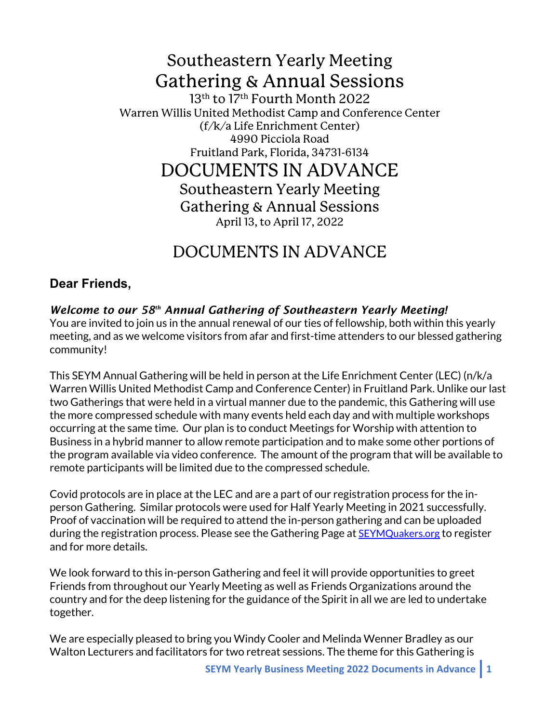# Southeastern Yearly Meeting Gathering & Annual Sessions

13<sup>th</sup> to 17<sup>th</sup> Fourth Month 2022 Warren Willis United Methodist Camp and Conference Center (f/k/a Life Enrichment Center) 4990 Picciola Road Fruitland Park, Florida, 34731-6134

DOCUMENTS IN ADVANCE Southeastern Yearly Meeting Gathering & Annual Sessions April 13, to April 17, 2022

# DOCUMENTS IN ADVANCE

# **Dear Friends,**

# *Welcome to our 58th Annual Gathering of Southeastern Yearly Meeting!*

You are invited to join us in the annual renewal of our ties of fellowship, both within this yearly meeting, and as we welcome visitors from afar and first-time attenders to our blessed gathering community!

This SEYM Annual Gathering will be held in person at the Life Enrichment Center (LEC) (n/k/a Warren Willis United Methodist Camp and Conference Center) in Fruitland Park. Unlike our last two Gatherings that were held in a virtual manner due to the pandemic, this Gathering will use the more compressed schedule with many events held each day and with multiple workshops occurring at the same time. Our plan is to conduct Meetings for Worship with attention to Business in a hybrid manner to allow remote participation and to make some other portions of the program available via video conference. The amount of the program that will be available to remote participants will be limited due to the compressed schedule.

Covid protocols are in place at the LEC and are a part of our registration process for the inperson Gathering. Similar protocols were used for Half Yearly Meeting in 2021 successfully. Proof of vaccination will be required to attend the in-person gathering and can be uploaded during the registration process. Please see the Gathering Page at SEYMQuakers.org to register and for more details.

We look forward to this in-person Gathering and feel it will provide opportunities to greet Friends from throughout our Yearly Meeting as well as Friends Organizations around the country and for the deep listening for the guidance of the Spirit in all we are led to undertake together.

We are especially pleased to bring you Windy Cooler and Melinda Wenner Bradley as our Walton Lecturers and facilitators for two retreat sessions. The theme for this Gathering is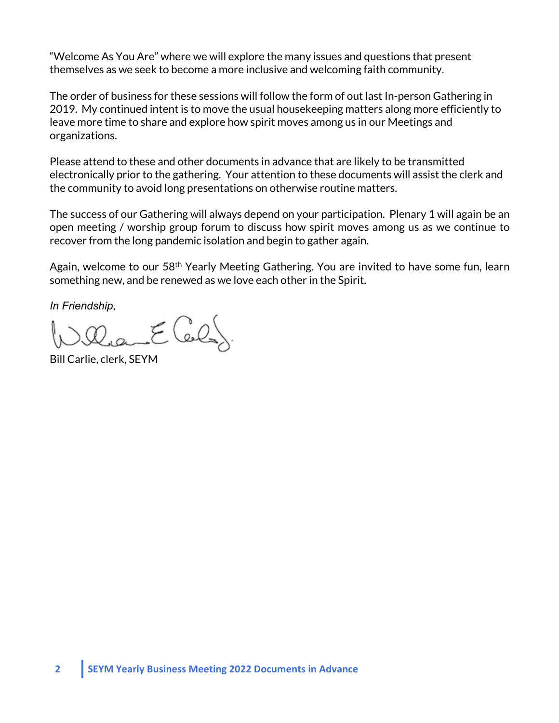"Welcome As You Are" where we will explore the many issues and questions that present themselves as we seek to become a more inclusive and welcoming faith community.

The order of business for these sessions will follow the form of out last In-person Gathering in 2019. My continued intent is to move the usual housekeeping matters along more efficiently to leave more time to share and explore how spirit moves among us in our Meetings and organizations.

Please attend to these and other documents in advance that are likely to be transmitted electronically prior to the gathering. Your attention to these documents will assist the clerk and the community to avoid long presentations on otherwise routine matters.

The success of our Gathering will always depend on your participation. Plenary 1 will again be an open meeting / worship group forum to discuss how spirit moves among us as we continue to recover from the long pandemic isolation and begin to gather again.

Again, welcome to our 58<sup>th</sup> Yearly Meeting Gathering. You are invited to have some fun, learn something new, and be renewed as we love each other in the Spirit.

*In Friendship*,

aa Eler

Bill Carlie, clerk, SEYM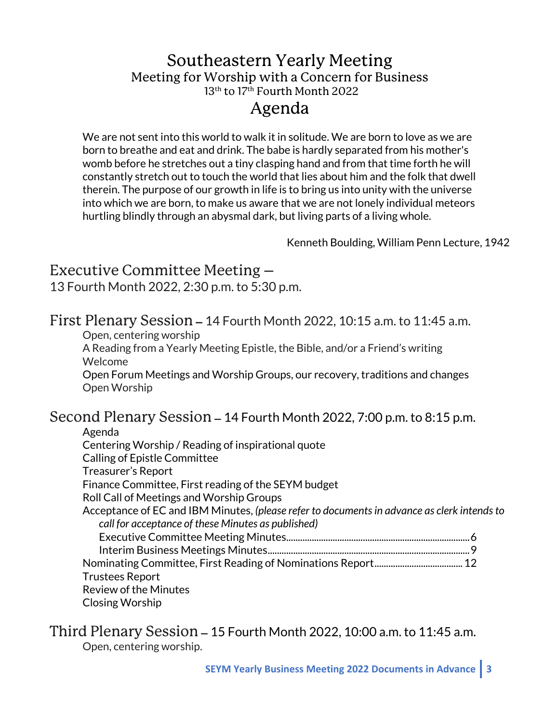# Southeastern Yearly Meeting Meeting for Worship with a Concern for Business 13<sup>th</sup> to 17<sup>th</sup> Fourth Month 2022 Agenda

We are not sent into this world to walk it in solitude. We are born to love as we are born to breathe and eat and drink. The babe is hardly separated from his mother's womb before he stretches out a tiny clasping hand and from that time forth he will constantly stretch out to touch the world that lies about him and the folk that dwell therein. The purpose of our growth in life is to bring us into unity with the universe into which we are born, to make us aware that we are not lonely individual meteors hurtling blindly through an abysmal dark, but living parts of a living whole.

Kenneth Boulding, William Penn Lecture, 1942

# Executive Committee Meeting –

13 Fourth Month 2022, 2:30 p.m. to 5:30 p.m.

# First Plenary Session – 14 Fourth Month 2022, 10:15 a.m. to 11:45 a.m.

Open, centering worship

A Reading from a Yearly Meeting Epistle, the Bible, and/or a Friend's writing Welcome

Open Forum Meetings and Worship Groups, our recovery, traditions and changes Open Worship

# Second Plenary Session – 14 Fourth Month 2022, 7:00 p.m. to 8:15 p.m.

| Agenda                                                                                      |  |
|---------------------------------------------------------------------------------------------|--|
| Centering Worship / Reading of inspirational quote                                          |  |
| <b>Calling of Epistle Committee</b>                                                         |  |
| Treasurer's Report                                                                          |  |
| Finance Committee, First reading of the SEYM budget                                         |  |
| Roll Call of Meetings and Worship Groups                                                    |  |
| Acceptance of EC and IBM Minutes, (please refer to documents in advance as clerk intends to |  |
| call for acceptance of these Minutes as published)                                          |  |
|                                                                                             |  |
|                                                                                             |  |
|                                                                                             |  |
| <b>Trustees Report</b>                                                                      |  |
| <b>Review of the Minutes</b>                                                                |  |
| <b>Closing Worship</b>                                                                      |  |

# Third Plenary Session – 15 Fourth Month 2022, 10:00 a.m. to 11:45 a.m. Open, centering worship.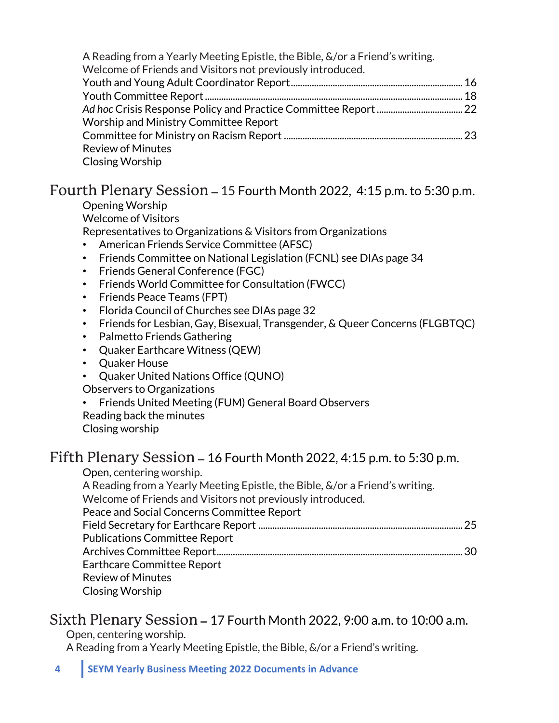| A Reading from a Yearly Meeting Epistle, the Bible, &/or a Friend's writing.<br>Welcome of Friends and Visitors not previously introduced. |  |
|--------------------------------------------------------------------------------------------------------------------------------------------|--|
|                                                                                                                                            |  |
|                                                                                                                                            |  |
|                                                                                                                                            |  |
| Worship and Ministry Committee Report                                                                                                      |  |
|                                                                                                                                            |  |
| <b>Review of Minutes</b>                                                                                                                   |  |
| <b>Closing Worship</b>                                                                                                                     |  |

# Fourth Plenary Session – 15 Fourth Month 2022, 4:15 p.m. to 5:30 p.m.

Opening Worship Welcome of Visitors Representatives to Organizations & Visitors from Organizations

- American Friends Service Committee (AFSC)
- Friends Committee on National Legislation (FCNL) see DIAs page 34
- Friends General Conference (FGC)
- Friends World Committee for Consultation (FWCC)
- Friends Peace Teams (FPT)
- Florida Council of Churches see DIAs page 32
- Friends for Lesbian, Gay, Bisexual, Transgender, & Queer Concerns (FLGBTQC)
- Palmetto Friends Gathering
- Quaker Earthcare Witness (QEW)
- Quaker House
- Quaker United Nations Office (QUNO)
- Observers to Organizations
- Friends United Meeting (FUM) General Board Observers
- Reading back the minutes
- Closing worship

# Fifth Plenary Session – 16 Fourth Month 2022, 4:15 p.m. to 5:30 p.m.

Open, centering worship.

A Reading from a Yearly Meeting Epistle, the Bible, &/or a Friend's writing. Welcome of Friends and Visitors not previously introduced.

Peace and Social Concerns Committee Report

Field Secretary for Earthcare Report ........................................................................................25 Publications Committee Report Archives Committee Report..........................................................................................................30 Earthcare Committee Report Review of Minutes

Closing Worship

# Sixth Plenary Session – 17 Fourth Month 2022, 9:00 a.m. to 10:00 a.m.

Open, centering worship.

A Reading from a Yearly Meeting Epistle, the Bible, &/or a Friend's writing.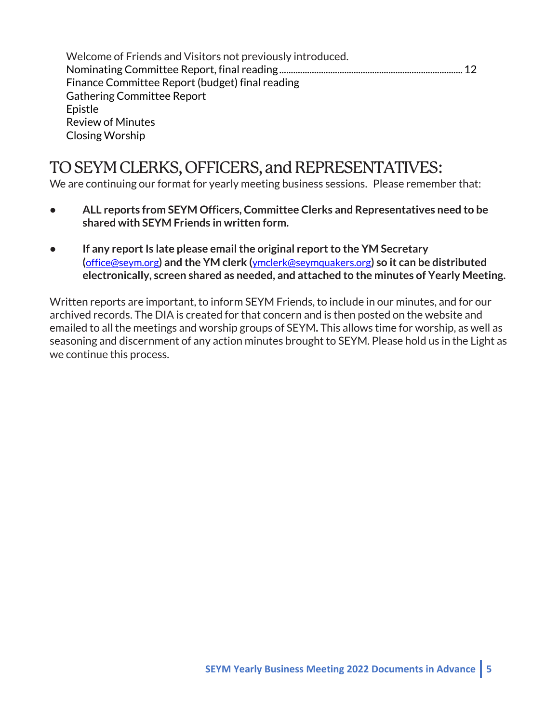| Welcome of Friends and Visitors not previously introduced. |  |
|------------------------------------------------------------|--|
|                                                            |  |
| Finance Committee Report (budget) final reading            |  |
| <b>Gathering Committee Report</b>                          |  |
| Epistle                                                    |  |
| <b>Review of Minutes</b>                                   |  |
| Closing Worship                                            |  |

# TO SEYM CLERKS, OFFICERS, and REPRESENTATIVES:

We are continuing our format for yearly meeting business sessions. Please remember that:

- **• ALL reports from SEYM Officers, Committee Clerks and Representatives need to be shared with SEYM Friends in written form.**
- **• If any report Is late please email the original report to the YM Secretary (**office@seym.org**) and the YM clerk (**ymclerk@seymquakers.org**) so it can be distributed electronically, screen shared as needed, and attached to the minutes of Yearly Meeting.**

Written reports are important, to inform SEYM Friends, to include in our minutes, and for our archived records. The DIA is created for that concern and is then posted on the website and emailed to all the meetings and worship groups of SEYM**.** This allows time for worship, as well as seasoning and discernment of any action minutes brought to SEYM. Please hold us in the Light as we continue this process.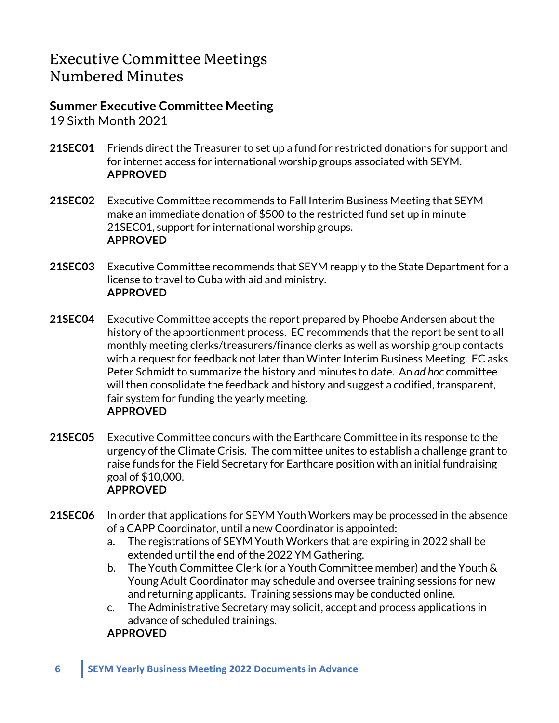# Executive Committee Meetings Numbered Minutes

# **Summer Executive Committee Meeting**

19 Sixth Month 2021

- **21SEC01** Friends direct the Treasurer to set up a fund for restricted donations for support and for internet access for international worship groups associated with SEYM. **APPROVED**
- **21SEC02** Executive Committee recommends to Fall Interim Business Meeting that SEYM make an immediate donation of \$500 to the restricted fund set up in minute 21SEC01, support for international worship groups. **APPROVED**
- **21SEC03** Executive Committee recommends that SEYM reapply to the State Department for a license to travel to Cuba with aid and ministry. **APPROVED**
- **21SEC04** Executive Committee accepts the report prepared by Phoebe Andersen about the history of the apportionment process. EC recommends that the report be sent to all monthly meeting clerks/treasurers/finance clerks as well as worship group contacts with a request for feedback not later than Winter Interim Business Meeting. EC asks Peter Schmidt to summarize the history and minutes to date. An *ad hoc* committee will then consolidate the feedback and history and suggest a codified, transparent, fair system for funding the yearly meeting. **APPROVED**
- **21SEC05** Executive Committee concurs with the Earthcare Committee in its response to the urgency of the Climate Crisis. The committee unites to establish a challenge grant to raise funds for the Field Secretary for Earthcare position with an initial fundraising goal of \$10,000. **APPROVED**
- **21SEC06** In order that applications for SEYM Youth Workers may be processed in the absence of a CAPP Coordinator, until a new Coordinator is appointed:
	- a. The registrations of SEYM Youth Workers that are expiring in 2022 shall be extended until the end of the 2022 YM Gathering.
	- b. The Youth Committee Clerk (or a Youth Committee member) and the Youth & Young Adult Coordinator may schedule and oversee training sessions for new and returning applicants. Training sessions may be conducted online.
	- c. The Administrative Secretary may solicit, accept and process applications in advance of scheduled trainings.

# **APPROVED**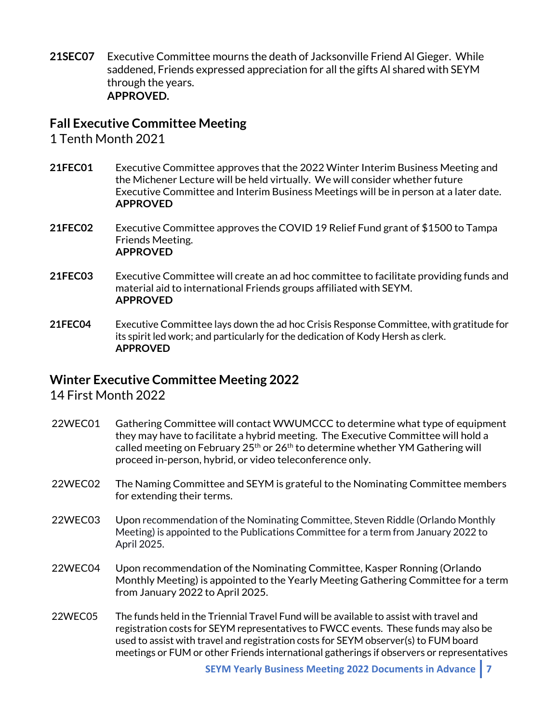**21SEC07** Executive Committee mourns the death of Jacksonville Friend Al Gieger. While saddened, Friends expressed appreciation for all the gifts Al shared with SEYM through the years. **APPROVED.**

# **Fall Executive Committee Meeting**

1 Tenth Month 2021

- **21FEC01** Executive Committee approves that the 2022 Winter Interim Business Meeting and the Michener Lecture will be held virtually. We will consider whether future Executive Committee and Interim Business Meetings will be in person at a later date. **APPROVED**
- **21FEC02** Executive Committee approves the COVID 19 Relief Fund grant of \$1500 to Tampa Friends Meeting. **APPROVED**
- **21FEC03** Executive Committee will create an ad hoc committee to facilitate providing funds and material aid to international Friends groups affiliated with SEYM. **APPROVED**
- **21FEC04** Executive Committee lays down the ad hoc Crisis Response Committee, with gratitude for its spirit led work; and particularly for the dedication of Kody Hersh as clerk. **APPROVED**

# **Winter Executive Committee Meeting 2022**

14 First Month 2022

- 22WEC01 Gathering Committee will contact WWUMCCC to determine what type of equipment they may have to facilitate a hybrid meeting. The Executive Committee will hold a called meeting on February  $25<sup>th</sup>$  or  $26<sup>th</sup>$  to determine whether YM Gathering will proceed in-person, hybrid, or video teleconference only.
- 22WEC02 The Naming Committee and SEYM is grateful to the Nominating Committee members for extending their terms.
- 22WEC03 Upon recommendation of the Nominating Committee, Steven Riddle (Orlando Monthly Meeting) is appointed to the Publications Committee for a term from January 2022 to April 2025.
- 22WEC04 Upon recommendation of the Nominating Committee, Kasper Ronning (Orlando Monthly Meeting) is appointed to the Yearly Meeting Gathering Committee for a term from January 2022 to April 2025.
- 22WEC05 The funds held in the Triennial Travel Fund will be available to assist with travel and registration costs for SEYM representatives to FWCC events. These funds may also be used to assist with travel and registration costs for SEYM observer(s) to FUM board meetings or FUM or other Friends international gatherings if observers or representatives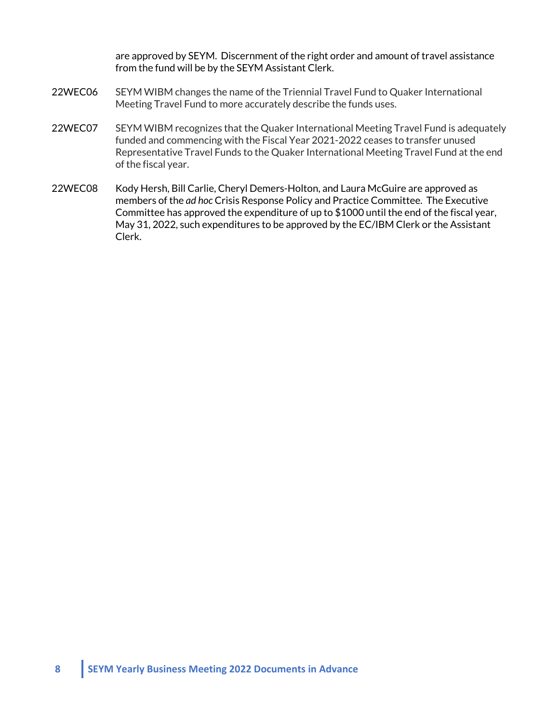are approved by SEYM. Discernment of the right order and amount of travel assistance from the fund will be by the SEYM Assistant Clerk.

- 22WEC06 SEYM WIBM changes the name of the Triennial Travel Fund to Quaker International Meeting Travel Fund to more accurately describe the funds uses.
- 22WEC07 SEYM WIBM recognizes that the Quaker International Meeting Travel Fund is adequately funded and commencing with the Fiscal Year 2021-2022 ceases to transfer unused Representative Travel Funds to the Quaker International Meeting Travel Fund at the end of the fiscal year.
- 22WEC08 Kody Hersh, Bill Carlie, Cheryl Demers-Holton, and Laura McGuire are approved as members of the *ad hoc* Crisis Response Policy and Practice Committee. The Executive Committee has approved the expenditure of up to \$1000 until the end of the fiscal year, May 31, 2022, such expenditures to be approved by the EC/IBM Clerk or the Assistant Clerk.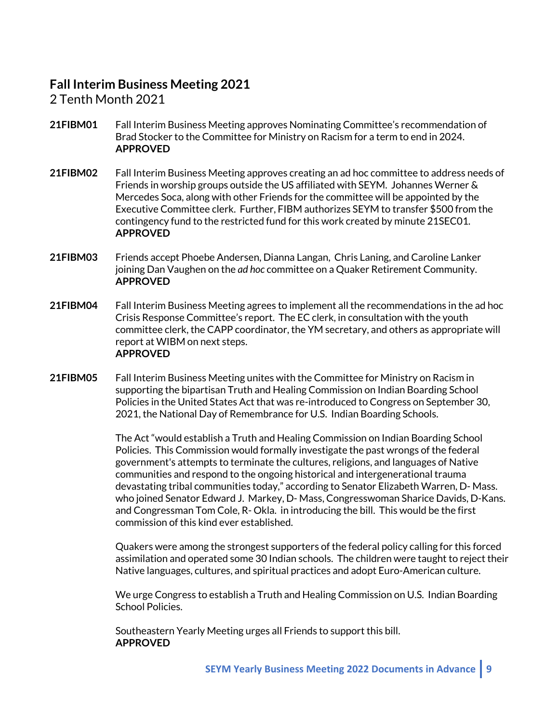# **Fall Interim Business Meeting 2021**

2 Tenth Month 2021

- **21FIBM01** Fall Interim Business Meeting approves Nominating Committee's recommendation of Brad Stocker to the Committee for Ministry on Racism for a term to end in 2024. **APPROVED**
- **21FIBM02** Fall Interim Business Meeting approves creating an ad hoc committee to address needs of Friends in worship groups outside the US affiliated with SEYM. Johannes Werner & Mercedes Soca, along with other Friends for the committee will be appointed by the Executive Committee clerk. Further, FIBM authorizes SEYM to transfer \$500 from the contingency fund to the restricted fund for this work created by minute 21SEC01. **APPROVED**
- **21FIBM03** Friends accept Phoebe Andersen, Dianna Langan, Chris Laning, and Caroline Lanker joining Dan Vaughen on the *ad hoc* committee on a Quaker Retirement Community. **APPROVED**
- **21FIBM04** Fall Interim Business Meeting agrees to implement all the recommendations in the ad hoc Crisis Response Committee's report. The EC clerk, in consultation with the youth committee clerk, the CAPP coordinator, the YM secretary, and others as appropriate will report at WIBM on next steps. **APPROVED**
- **21FIBM05** Fall Interim Business Meeting unites with the Committee for Ministry on Racism in supporting the bipartisan Truth and Healing Commission on Indian Boarding School Policies in the United States Act that was re-introduced to Congress on September 30, 2021, the National Day of Remembrance for U.S. Indian Boarding Schools.

The Act "would establish a Truth and Healing Commission on Indian Boarding School Policies. This Commission would formally investigate the past wrongs of the federal government's attempts to terminate the cultures, religions, and languages of Native communities and respond to the ongoing historical and intergenerational trauma devastating tribal communities today," according to Senator Elizabeth Warren, D- Mass. who joined Senator Edward J. Markey, D- Mass, Congresswoman Sharice Davids, D-Kans. and Congressman Tom Cole, R- Okla. in introducing the bill. This would be the first commission of this kind ever established.

Quakers were among the strongest supporters of the federal policy calling for this forced assimilation and operated some 30 Indian schools. The children were taught to reject their Native languages, cultures, and spiritual practices and adopt Euro-American culture.

We urge Congress to establish a Truth and Healing Commission on U.S. Indian Boarding School Policies.

Southeastern Yearly Meeting urges all Friends to support this bill. **APPROVED**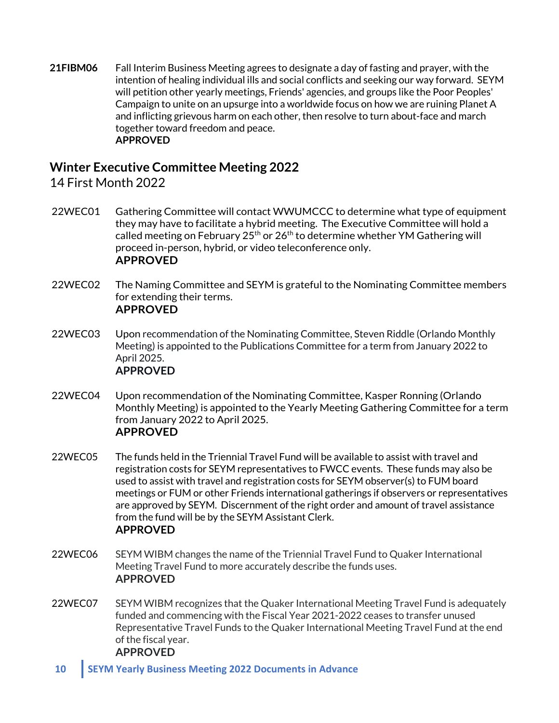**21FIBM06** Fall Interim Business Meeting agrees to designate a day of fasting and prayer, with the intention of healing individual ills and social conflicts and seeking our way forward. SEYM will petition other yearly meetings, Friends' agencies, and groups like the Poor Peoples' Campaign to unite on an upsurge into a worldwide focus on how we are ruining Planet A and inflicting grievous harm on each other, then resolve to turn about-face and march together toward freedom and peace. **APPROVED**

# **Winter Executive Committee Meeting 2022**

14 First Month 2022

- 22WEC01 Gathering Committee will contact WWUMCCC to determine what type of equipment they may have to facilitate a hybrid meeting. The Executive Committee will hold a called meeting on February  $25<sup>th</sup>$  or  $26<sup>th</sup>$  to determine whether YM Gathering will proceed in-person, hybrid, or video teleconference only. **APPROVED**
- 22WEC02 The Naming Committee and SEYM is grateful to the Nominating Committee members for extending their terms. **APPROVED**
- 22WEC03 Upon recommendation of the Nominating Committee, Steven Riddle (Orlando Monthly Meeting) is appointed to the Publications Committee for a term from January 2022 to April 2025. **APPROVED**
- 22WEC04 Upon recommendation of the Nominating Committee, Kasper Ronning (Orlando Monthly Meeting) is appointed to the Yearly Meeting Gathering Committee for a term from January 2022 to April 2025. **APPROVED**
- 22WEC05 The funds held in the Triennial Travel Fund will be available to assist with travel and registration costs for SEYM representatives to FWCC events. These funds may also be used to assist with travel and registration costs for SEYM observer(s) to FUM board meetings or FUM or other Friends international gatherings if observers or representatives are approved by SEYM. Discernment of the right order and amount of travel assistance from the fund will be by the SEYM Assistant Clerk. **APPROVED**
- 22WEC06 SEYM WIBM changes the name of the Triennial Travel Fund to Quaker International Meeting Travel Fund to more accurately describe the funds uses. **APPROVED**
- 22WEC07 SEYM WIBM recognizes that the Quaker International Meeting Travel Fund is adequately funded and commencing with the Fiscal Year 2021-2022 ceases to transfer unused Representative Travel Funds to the Quaker International Meeting Travel Fund at the end of the fiscal year. **APPROVED**

**10 SEYM Yearly Business Meeting 2022 Documents in Advance**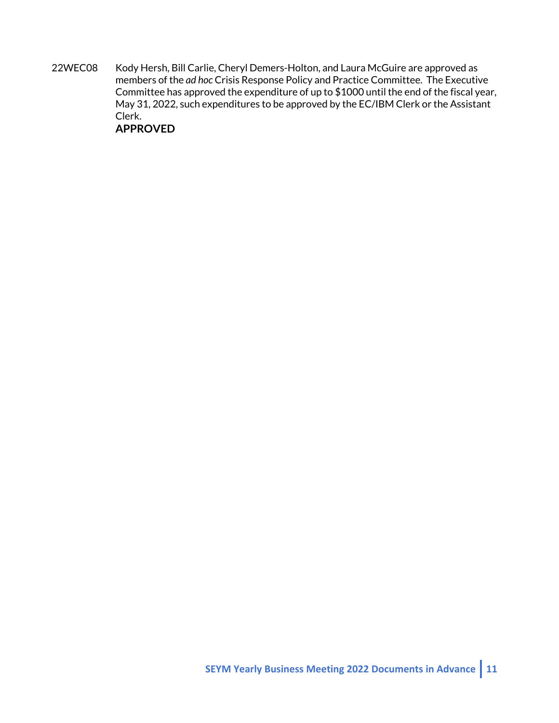22WEC08 Kody Hersh, Bill Carlie, Cheryl Demers-Holton, and Laura McGuire are approved as members of the *ad hoc* Crisis Response Policy and Practice Committee. The Executive Committee has approved the expenditure of up to \$1000 until the end of the fiscal year, May 31, 2022, such expenditures to be approved by the EC/IBM Clerk or the Assistant Clerk.

# **APPROVED**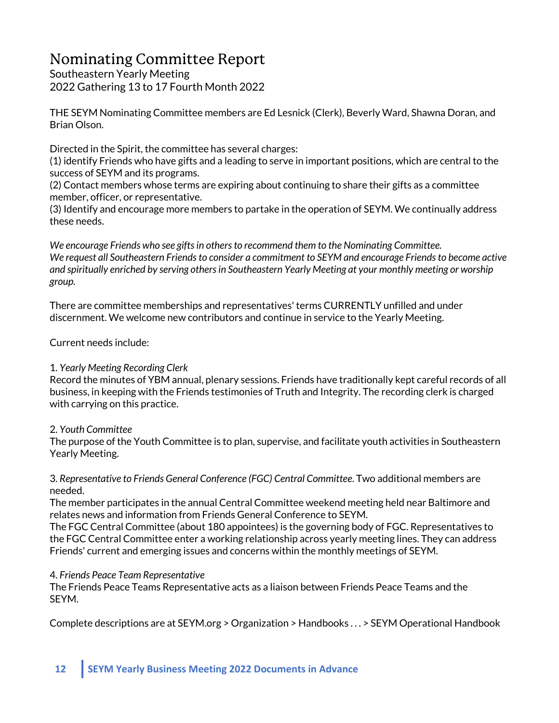# Nominating Committee Report

Southeastern Yearly Meeting 2022 Gathering 13 to 17 Fourth Month 2022

THE SEYM Nominating Committee members are Ed Lesnick (Clerk), Beverly Ward, Shawna Doran, and Brian Olson.

Directed in the Spirit, the committee has several charges:

(1) identify Friends who have gifts and a leading to serve in important positions, which are central to the success of SEYM and its programs.

(2) Contact members whose terms are expiring about continuing to share their gifts as a committee member, officer, or representative.

(3) Identify and encourage more members to partake in the operation of SEYM. We continually address these needs.

*We encourage Friends who see gifts in others to recommend them to the Nominating Committee. We request all Southeastern Friends to consider a commitment to SEYM and encourage Friends to become active and spiritually enriched by serving others in Southeastern Yearly Meeting at your monthly meeting or worship group.* 

There are committee memberships and representatives' terms CURRENTLY unfilled and under discernment. We welcome new contributors and continue in service to the Yearly Meeting.

Current needs include:

# 1. *Yearly Meeting Recording Clerk*

Record the minutes of YBM annual, plenary sessions. Friends have traditionally kept careful records of all business, in keeping with the Friends testimonies of Truth and Integrity. The recording clerk is charged with carrying on this practice.

# 2. *Youth Committee*

The purpose of the Youth Committee is to plan, supervise, and facilitate youth activities in Southeastern Yearly Meeting.

3. *Representative to Friends General Conference (FGC) Central Committee*. Two additional members are needed.

The member participates in the annual Central Committee weekend meeting held near Baltimore and relates news and information from Friends General Conference to SEYM.

The FGC Central Committee (about 180 appointees) is the governing body of FGC. Representatives to the FGC Central Committee enter a working relationship across yearly meeting lines. They can address Friends' current and emerging issues and concerns within the monthly meetings of SEYM.

# 4. *Friends Peace Team Representative*

The Friends Peace Teams Representative acts as a liaison between Friends Peace Teams and the SEYM.

Complete descriptions are at SEYM.org > Organization > Handbooks . . . > SEYM Operational Handbook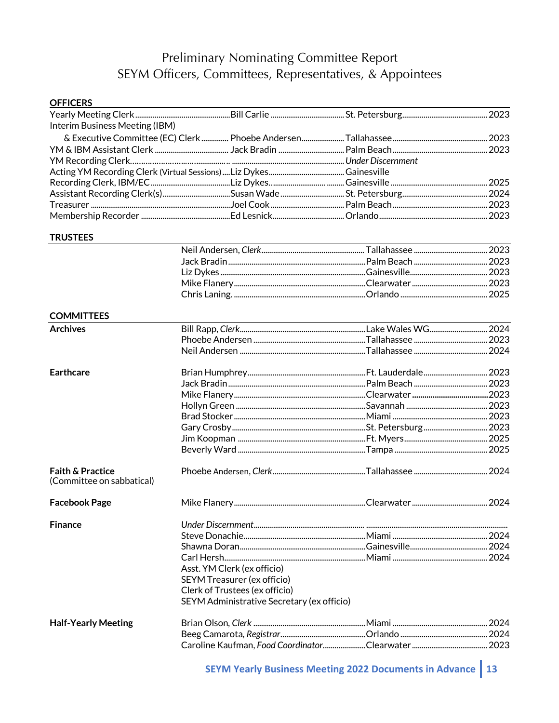# Preliminary Nominating Committee Report SEYM Officers, Committees, Representatives, & Appointees

| <b>OFFICERS</b>                                          |                                            |  |
|----------------------------------------------------------|--------------------------------------------|--|
|                                                          |                                            |  |
| Interim Business Meeting (IBM)                           |                                            |  |
|                                                          |                                            |  |
|                                                          |                                            |  |
|                                                          |                                            |  |
|                                                          |                                            |  |
|                                                          |                                            |  |
|                                                          |                                            |  |
|                                                          |                                            |  |
|                                                          |                                            |  |
| <b>TRUSTEES</b>                                          |                                            |  |
|                                                          |                                            |  |
|                                                          |                                            |  |
|                                                          |                                            |  |
|                                                          |                                            |  |
|                                                          |                                            |  |
| <b>COMMITTEES</b>                                        |                                            |  |
| <b>Archives</b>                                          |                                            |  |
|                                                          |                                            |  |
|                                                          |                                            |  |
| <b>Earthcare</b>                                         |                                            |  |
|                                                          |                                            |  |
|                                                          |                                            |  |
|                                                          |                                            |  |
|                                                          |                                            |  |
|                                                          |                                            |  |
|                                                          |                                            |  |
|                                                          |                                            |  |
| <b>Faith &amp; Practice</b><br>(Committee on sabbatical) |                                            |  |
| <b>Facebook Page</b>                                     |                                            |  |
| <b>Finance</b>                                           |                                            |  |
|                                                          |                                            |  |
|                                                          |                                            |  |
|                                                          |                                            |  |
|                                                          | Asst. YM Clerk (ex officio)                |  |
|                                                          | SEYM Treasurer (ex officio)                |  |
|                                                          | Clerk of Trustees (ex officio)             |  |
|                                                          | SEYM Administrative Secretary (ex officio) |  |
| <b>Half-Yearly Meeting</b>                               |                                            |  |
|                                                          |                                            |  |
|                                                          |                                            |  |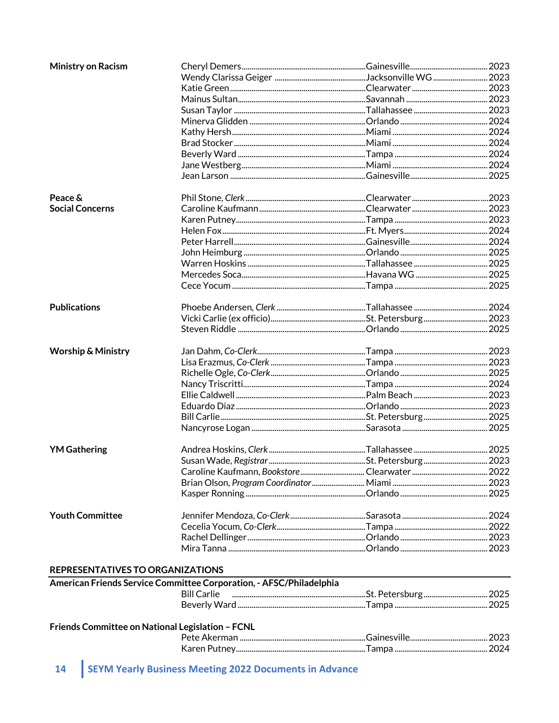| <b>Ministry on Racism</b>     |  |  |
|-------------------------------|--|--|
|                               |  |  |
|                               |  |  |
|                               |  |  |
|                               |  |  |
|                               |  |  |
|                               |  |  |
|                               |  |  |
|                               |  |  |
|                               |  |  |
|                               |  |  |
| Peace &                       |  |  |
| <b>Social Concerns</b>        |  |  |
|                               |  |  |
|                               |  |  |
|                               |  |  |
|                               |  |  |
|                               |  |  |
|                               |  |  |
|                               |  |  |
| <b>Publications</b>           |  |  |
|                               |  |  |
|                               |  |  |
| <b>Worship &amp; Ministry</b> |  |  |
|                               |  |  |
|                               |  |  |
|                               |  |  |
|                               |  |  |
|                               |  |  |
|                               |  |  |
|                               |  |  |
| <b>YM Gathering</b>           |  |  |
|                               |  |  |
|                               |  |  |
|                               |  |  |
|                               |  |  |
| <b>Youth Committee</b>        |  |  |
|                               |  |  |
|                               |  |  |
|                               |  |  |

#### REPRESENTATIVES TO ORGANIZATIONS

| American Friends Service Committee Corporation, - AFSC/Philadelphia |  |
|---------------------------------------------------------------------|--|
|                                                                     |  |
|                                                                     |  |
| $\mathbf{r}$ . The state of the state of $\mathbf{r}$               |  |

#### Friends Committee on National Legislation - FCNL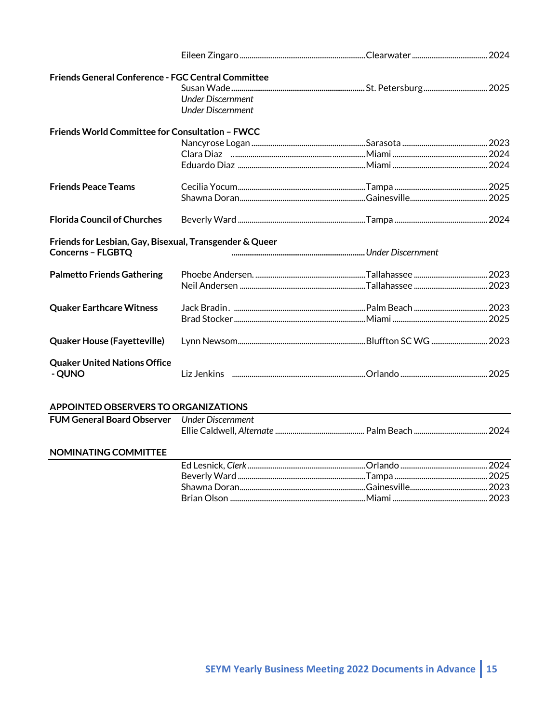| <b>Friends General Conference - FGC Central Committee</b>                           |                                                      |  |
|-------------------------------------------------------------------------------------|------------------------------------------------------|--|
|                                                                                     | <b>Under Discernment</b><br><b>Under Discernment</b> |  |
| Friends World Committee for Consultation - FWCC                                     |                                                      |  |
|                                                                                     |                                                      |  |
|                                                                                     |                                                      |  |
|                                                                                     |                                                      |  |
| <b>Friends Peace Teams</b>                                                          |                                                      |  |
|                                                                                     |                                                      |  |
| <b>Florida Council of Churches</b>                                                  |                                                      |  |
| Friends for Lesbian, Gay, Bisexual, Transgender & Queer<br><b>Concerns - FLGBTQ</b> |                                                      |  |
| <b>Palmetto Friends Gathering</b>                                                   |                                                      |  |
|                                                                                     |                                                      |  |
| <b>Quaker Earthcare Witness</b>                                                     |                                                      |  |
|                                                                                     |                                                      |  |
| <b>Quaker House (Fayetteville)</b>                                                  |                                                      |  |
| <b>Quaker United Nations Office</b><br>- QUNO                                       |                                                      |  |
| APPOINTED OBSERVERS TO ORGANIZATIONS                                                |                                                      |  |
| FUM General Board Observer Under Discernment                                        |                                                      |  |
|                                                                                     |                                                      |  |
| NOMINATING COMMITTEE                                                                |                                                      |  |
|                                                                                     |                                                      |  |
|                                                                                     |                                                      |  |
|                                                                                     |                                                      |  |
|                                                                                     |                                                      |  |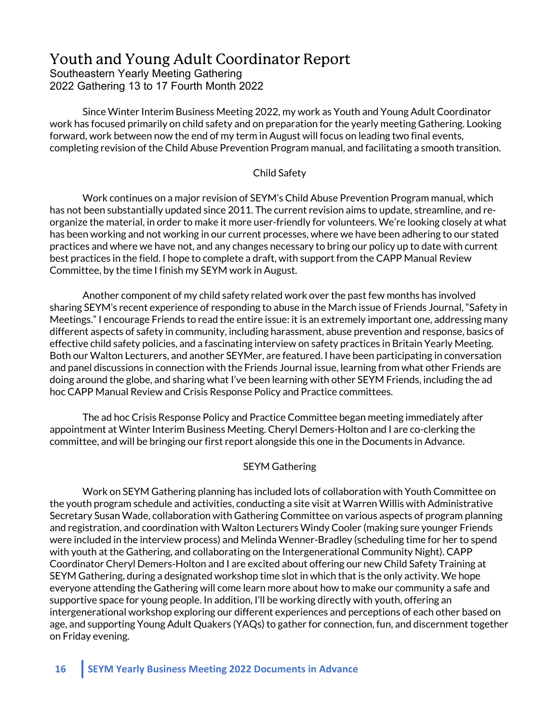# Youth and Young Adult Coordinator Report

Southeastern Yearly Meeting Gathering 2022 Gathering 13 to 17 Fourth Month 2022

Since Winter Interim Business Meeting 2022, my work as Youth and Young Adult Coordinator work has focused primarily on child safety and on preparation for the yearly meeting Gathering. Looking forward, work between now the end of my term in August will focus on leading two final events, completing revision of the Child Abuse Prevention Program manual, and facilitating a smooth transition.

### Child Safety

Work continues on a major revision of SEYM's Child Abuse Prevention Program manual, which has not been substantially updated since 2011. The current revision aims to update, streamline, and reorganize the material, in order to make it more user-friendly for volunteers. We're looking closely at what has been working and not working in our current processes, where we have been adhering to our stated practices and where we have not, and any changes necessary to bring our policy up to date with current best practices in the field. I hope to complete a draft, with support from the CAPP Manual Review Committee, by the time I finish my SEYM work in August.

Another component of my child safety related work over the past few months has involved sharing SEYM's recent experience of responding to abuse in the March issue of Friends Journal, "Safety in Meetings." I encourage Friends to read the entire issue: it is an extremely important one, addressing many different aspects of safety in community, including harassment, abuse prevention and response, basics of effective child safety policies, and a fascinating interview on safety practices in Britain Yearly Meeting. Both our Walton Lecturers, and another SEYMer, are featured. I have been participating in conversation and panel discussions in connection with the Friends Journal issue, learning from what other Friends are doing around the globe, and sharing what I've been learning with other SEYM Friends, including the ad hoc CAPP Manual Review and Crisis Response Policy and Practice committees.

The ad hoc Crisis Response Policy and Practice Committee began meeting immediately after appointment at Winter Interim Business Meeting. Cheryl Demers-Holton and I are co-clerking the committee, and will be bringing our first report alongside this one in the Documents in Advance.

### SEYM Gathering

Work on SEYM Gathering planning has included lots of collaboration with Youth Committee on the youth program schedule and activities, conducting a site visit at Warren Willis with Administrative Secretary Susan Wade, collaboration with Gathering Committee on various aspects of program planning and registration, and coordination with Walton Lecturers Windy Cooler (making sure younger Friends were included in the interview process) and Melinda Wenner-Bradley (scheduling time for her to spend with youth at the Gathering, and collaborating on the Intergenerational Community Night). CAPP Coordinator Cheryl Demers-Holton and I are excited about offering our new Child Safety Training at SEYM Gathering, during a designated workshop time slot in which that is the only activity. We hope everyone attending the Gathering will come learn more about how to make our community a safe and supportive space for young people. In addition, I'll be working directly with youth, offering an intergenerational workshop exploring our different experiences and perceptions of each other based on age, and supporting Young Adult Quakers (YAQs) to gather for connection, fun, and discernment together on Friday evening.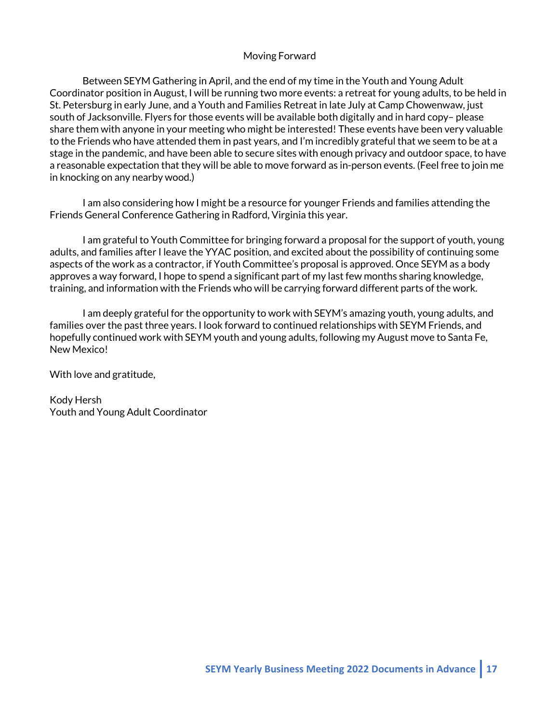### Moving Forward

Between SEYM Gathering in April, and the end of my time in the Youth and Young Adult Coordinator position in August, I will be running two more events: a retreat for young adults, to be held in St. Petersburg in early June, and a Youth and Families Retreat in late July at Camp Chowenwaw, just south of Jacksonville. Flyers for those events will be available both digitally and in hard copy– please share them with anyone in your meeting who might be interested! These events have been very valuable to the Friends who have attended them in past years, and I'm incredibly grateful that we seem to be at a stage in the pandemic, and have been able to secure sites with enough privacy and outdoor space, to have a reasonable expectation that they will be able to move forward as in-person events. (Feel free to join me in knocking on any nearby wood.)

I am also considering how I might be a resource for younger Friends and families attending the Friends General Conference Gathering in Radford, Virginia this year.

I am grateful to Youth Committee for bringing forward a proposal for the support of youth, young adults, and families after I leave the YYAC position, and excited about the possibility of continuing some aspects of the work as a contractor, if Youth Committee's proposal is approved. Once SEYM as a body approves a way forward, I hope to spend a significant part of my last few months sharing knowledge, training, and information with the Friends who will be carrying forward different parts of the work.

I am deeply grateful for the opportunity to work with SEYM's amazing youth, young adults, and families over the past three years. I look forward to continued relationships with SEYM Friends, and hopefully continued work with SEYM youth and young adults, following my August move to Santa Fe, New Mexico!

With love and gratitude,

Kody Hersh Youth and Young Adult Coordinator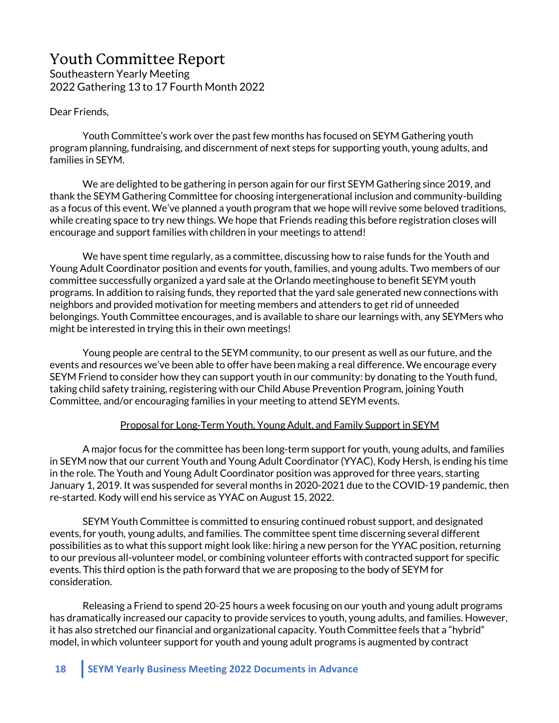# Youth Committee Report Southeastern Yearly Meeting 2022 Gathering 13 to 17 Fourth Month 2022

Dear Friends,

Youth Committee's work over the past few months has focused on SEYM Gathering youth program planning, fundraising, and discernment of next steps for supporting youth, young adults, and families in SEYM.

We are delighted to be gathering in person again for our first SEYM Gathering since 2019, and thank the SEYM Gathering Committee for choosing intergenerational inclusion and community-building as a focus of this event. We've planned a youth program that we hope will revive some beloved traditions, while creating space to try new things. We hope that Friends reading this before registration closes will encourage and support families with children in your meetings to attend!

We have spent time regularly, as a committee, discussing how to raise funds for the Youth and Young Adult Coordinator position and events for youth, families, and young adults. Two members of our committee successfully organized a yard sale at the Orlando meetinghouse to benefit SEYM youth programs. In addition to raising funds, they reported that the yard sale generated new connections with neighbors and provided motivation for meeting members and attenders to get rid of unneeded belongings. Youth Committee encourages, and is available to share our learnings with, any SEYMers who might be interested in trying this in their own meetings!

Young people are central to the SEYM community, to our present as well as our future, and the events and resources we've been able to offer have been making a real difference. We encourage every SEYM Friend to consider how they can support youth in our community: by donating to the Youth fund, taking child safety training, registering with our Child Abuse Prevention Program, joining Youth Committee, and/or encouraging families in your meeting to attend SEYM events.

#### Proposal for Long-Term Youth, Young Adult, and Family Support in SEYM

A major focus for the committee has been long-term support for youth, young adults, and families in SEYM now that our current Youth and Young Adult Coordinator (YYAC), Kody Hersh, is ending his time in the role. The Youth and Young Adult Coordinator position was approved for three years, starting January 1, 2019. It was suspended for several months in 2020-2021 due to the COVID-19 pandemic, then re-started. Kody will end his service as YYAC on August 15, 2022.

SEYM Youth Committee is committed to ensuring continued robust support, and designated events, for youth, young adults, and families. The committee spent time discerning several different possibilities as to what this support might look like: hiring a new person for the YYAC position, returning to our previous all-volunteer model, or combining volunteer efforts with contracted support for specific events. This third option is the path forward that we are proposing to the body of SEYM for consideration.

Releasing a Friend to spend 20-25 hours a week focusing on our youth and young adult programs has dramatically increased our capacity to provide services to youth, young adults, and families. However, it has also stretched our financial and organizational capacity. Youth Committee feels that a "hybrid" model, in which volunteer support for youth and young adult programs is augmented by contract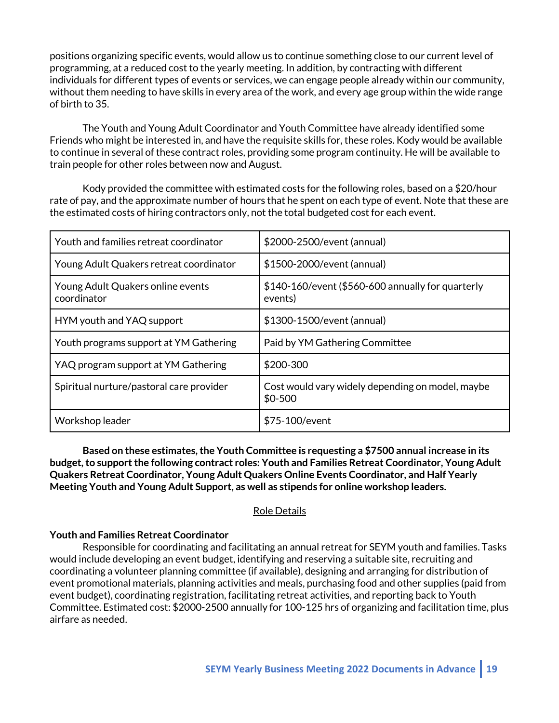positions organizing specific events, would allow us to continue something close to our current level of programming, at a reduced cost to the yearly meeting. In addition, by contracting with different individuals for different types of events or services, we can engage people already within our community, without them needing to have skills in every area of the work, and every age group within the wide range of birth to 35.

The Youth and Young Adult Coordinator and Youth Committee have already identified some Friends who might be interested in, and have the requisite skills for, these roles. Kody would be available to continue in several of these contract roles, providing some program continuity. He will be available to train people for other roles between now and August.

Kody provided the committee with estimated costs for the following roles, based on a \$20/hour rate of pay, and the approximate number of hours that he spent on each type of event. Note that these are the estimated costs of hiring contractors only, not the total budgeted cost for each event.

| Youth and families retreat coordinator           | \$2000-2500/event (annual)                                   |
|--------------------------------------------------|--------------------------------------------------------------|
| Young Adult Quakers retreat coordinator          | \$1500-2000/event (annual)                                   |
| Young Adult Quakers online events<br>coordinator | \$140-160/event (\$560-600 annually for quarterly<br>events) |
| HYM youth and YAQ support                        | \$1300-1500/event (annual)                                   |
| Youth programs support at YM Gathering           | Paid by YM Gathering Committee                               |
| YAQ program support at YM Gathering              | \$200-300                                                    |
| Spiritual nurture/pastoral care provider         | Cost would vary widely depending on model, maybe<br>$$0-500$ |
| Workshop leader                                  | \$75-100/event                                               |

**Based on these estimates, the Youth Committee is requesting a \$7500 annual increase in its budget, to support the following contract roles: Youth and Families Retreat Coordinator, Young Adult Quakers Retreat Coordinator, Young Adult Quakers Online Events Coordinator, and Half Yearly Meeting Youth and Young Adult Support, as well as stipends for online workshop leaders.**

#### Role Details

#### **Youth and Families Retreat Coordinator**

Responsible for coordinating and facilitating an annual retreat for SEYM youth and families. Tasks would include developing an event budget, identifying and reserving a suitable site, recruiting and coordinating a volunteer planning committee (if available), designing and arranging for distribution of event promotional materials, planning activities and meals, purchasing food and other supplies (paid from event budget), coordinating registration, facilitating retreat activities, and reporting back to Youth Committee. Estimated cost: \$2000-2500 annually for 100-125 hrs of organizing and facilitation time, plus airfare as needed.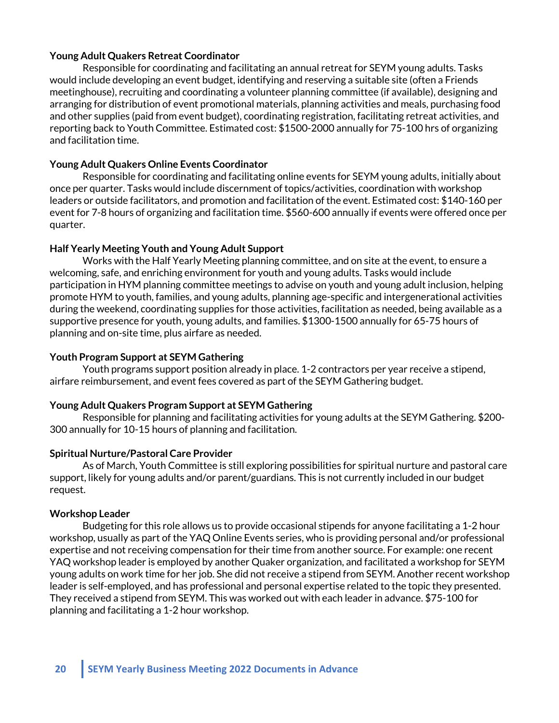### **Young Adult Quakers Retreat Coordinator**

Responsible for coordinating and facilitating an annual retreat for SEYM young adults. Tasks would include developing an event budget, identifying and reserving a suitable site (often a Friends meetinghouse), recruiting and coordinating a volunteer planning committee (if available), designing and arranging for distribution of event promotional materials, planning activities and meals, purchasing food and other supplies (paid from event budget), coordinating registration, facilitating retreat activities, and reporting back to Youth Committee. Estimated cost: \$1500-2000 annually for 75-100 hrs of organizing and facilitation time.

#### **Young Adult Quakers Online Events Coordinator**

Responsible for coordinating and facilitating online events for SEYM young adults, initially about once per quarter. Tasks would include discernment of topics/activities, coordination with workshop leaders or outside facilitators, and promotion and facilitation of the event. Estimated cost: \$140-160 per event for 7-8 hours of organizing and facilitation time. \$560-600 annually if events were offered once per quarter.

#### **Half Yearly Meeting Youth and Young Adult Support**

Works with the Half Yearly Meeting planning committee, and on site at the event, to ensure a welcoming, safe, and enriching environment for youth and young adults. Tasks would include participation in HYM planning committee meetings to advise on youth and young adult inclusion, helping promote HYM to youth, families, and young adults, planning age-specific and intergenerational activities during the weekend, coordinating supplies for those activities, facilitation as needed, being available as a supportive presence for youth, young adults, and families. \$1300-1500 annually for 65-75 hours of planning and on-site time, plus airfare as needed.

#### **Youth Program Support at SEYM Gathering**

Youth programs support position already in place. 1-2 contractors per year receive a stipend, airfare reimbursement, and event fees covered as part of the SEYM Gathering budget.

### **Young Adult Quakers Program Support at SEYM Gathering**

Responsible for planning and facilitating activities for young adults at the SEYM Gathering. \$200- 300 annually for 10-15 hours of planning and facilitation.

#### **Spiritual Nurture/Pastoral Care Provider**

As of March, Youth Committee is still exploring possibilities for spiritual nurture and pastoral care support, likely for young adults and/or parent/guardians. This is not currently included in our budget request.

#### **Workshop Leader**

Budgeting for this role allows us to provide occasional stipends for anyone facilitating a 1-2 hour workshop, usually as part of the YAQ Online Events series, who is providing personal and/or professional expertise and not receiving compensation for their time from another source. For example: one recent YAQ workshop leader is employed by another Quaker organization, and facilitated a workshop for SEYM young adults on work time for her job. She did not receive a stipend from SEYM. Another recent workshop leader is self-employed, and has professional and personal expertise related to the topic they presented. They received a stipend from SEYM. This was worked out with each leader in advance. \$75-100 for planning and facilitating a 1-2 hour workshop.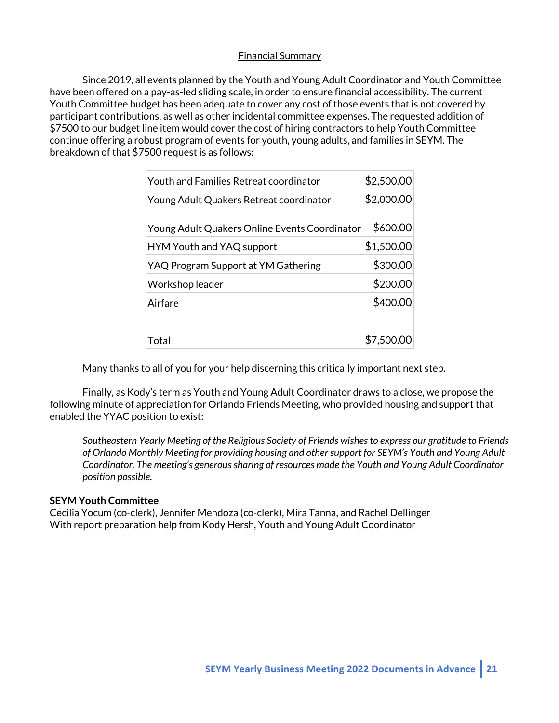### Financial Summary

Since 2019, all events planned by the Youth and Young Adult Coordinator and Youth Committee have been offered on a pay-as-led sliding scale, in order to ensure financial accessibility. The current Youth Committee budget has been adequate to cover any cost of those events that is not covered by participant contributions, as well as other incidental committee expenses. The requested addition of \$7500 to our budget line item would cover the cost of hiring contractors to help Youth Committee continue offering a robust program of events for youth, young adults, and families in SEYM. The breakdown of that \$7500 request is as follows:

| <b>Youth and Families Retreat coordinator</b> | \$2,500.00 |
|-----------------------------------------------|------------|
| Young Adult Quakers Retreat coordinator       | \$2,000.00 |
| Young Adult Quakers Online Events Coordinator | \$600.00   |
| HYM Youth and YAQ support                     | \$1,500.00 |
| YAQ Program Support at YM Gathering           | \$300.00   |
| Workshop leader                               | \$200.00   |
| Airfare                                       | \$400.00   |
|                                               |            |
| Total                                         | \$7,500.   |

Many thanks to all of you for your help discerning this critically important next step.

Finally, as Kody's term as Youth and Young Adult Coordinator draws to a close, we propose the following minute of appreciation for Orlando Friends Meeting, who provided housing and support that enabled the YYAC position to exist:

*Southeastern Yearly Meeting of the Religious Society of Friends wishes to express our gratitude to Friends of Orlando Monthly Meeting for providing housing and other support for SEYM's Youth and Young Adult Coordinator. The meeting's generous sharing of resources made the Youth and Young Adult Coordinator position possible.*

### **SEYM Youth Committee**

Cecilia Yocum (co-clerk), Jennifer Mendoza (co-clerk), Mira Tanna, and Rachel Dellinger With report preparation help from Kody Hersh, Youth and Young Adult Coordinator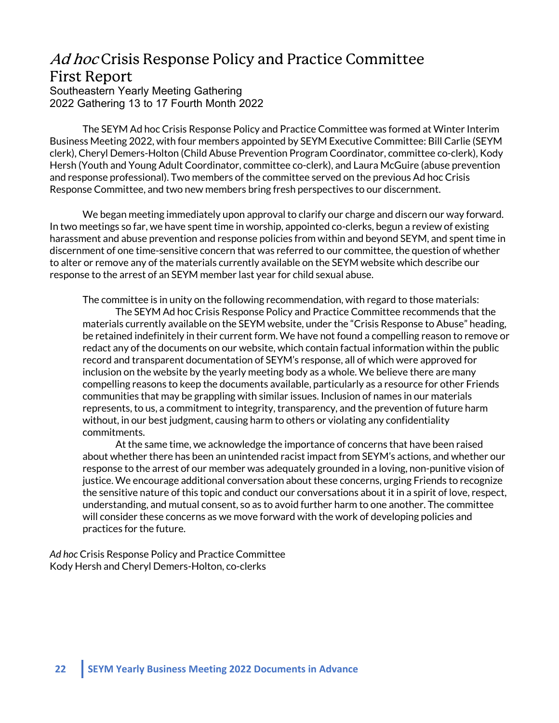# Ad hoc Crisis Response Policy and Practice Committee First Report

Southeastern Yearly Meeting Gathering 2022 Gathering 13 to 17 Fourth Month 2022

The SEYM Ad hoc Crisis Response Policy and Practice Committee was formed at Winter Interim Business Meeting 2022, with four members appointed by SEYM Executive Committee: Bill Carlie (SEYM clerk), Cheryl Demers-Holton (Child Abuse Prevention Program Coordinator, committee co-clerk), Kody Hersh (Youth and Young Adult Coordinator, committee co-clerk), and Laura McGuire (abuse prevention and response professional). Two members of the committee served on the previous Ad hoc Crisis Response Committee, and two new members bring fresh perspectives to our discernment.

We began meeting immediately upon approval to clarify our charge and discern our way forward. In two meetings so far, we have spent time in worship, appointed co-clerks, begun a review of existing harassment and abuse prevention and response policies from within and beyond SEYM, and spent time in discernment of one time-sensitive concern that was referred to our committee, the question of whether to alter or remove any of the materials currently available on the SEYM website which describe our response to the arrest of an SEYM member last year for child sexual abuse.

The committee is in unity on the following recommendation, with regard to those materials: The SEYM Ad hoc Crisis Response Policy and Practice Committee recommends that the materials currently available on the SEYM website, under the "Crisis Response to Abuse" heading, be retained indefinitely in their current form. We have not found a compelling reason to remove or redact any of the documents on our website, which contain factual information within the public record and transparent documentation of SEYM's response, all of which were approved for inclusion on the website by the yearly meeting body as a whole. We believe there are many compelling reasons to keep the documents available, particularly as a resource for other Friends communities that may be grappling with similar issues. Inclusion of names in our materials represents, to us, a commitment to integrity, transparency, and the prevention of future harm without, in our best judgment, causing harm to others or violating any confidentiality commitments.

At the same time, we acknowledge the importance of concerns that have been raised about whether there has been an unintended racist impact from SEYM's actions, and whether our response to the arrest of our member was adequately grounded in a loving, non-punitive vision of justice. We encourage additional conversation about these concerns, urging Friends to recognize the sensitive nature of this topic and conduct our conversations about it in a spirit of love, respect, understanding, and mutual consent, so as to avoid further harm to one another. The committee will consider these concerns as we move forward with the work of developing policies and practices for the future.

*Ad hoc* Crisis Response Policy and Practice Committee Kody Hersh and Cheryl Demers-Holton, co-clerks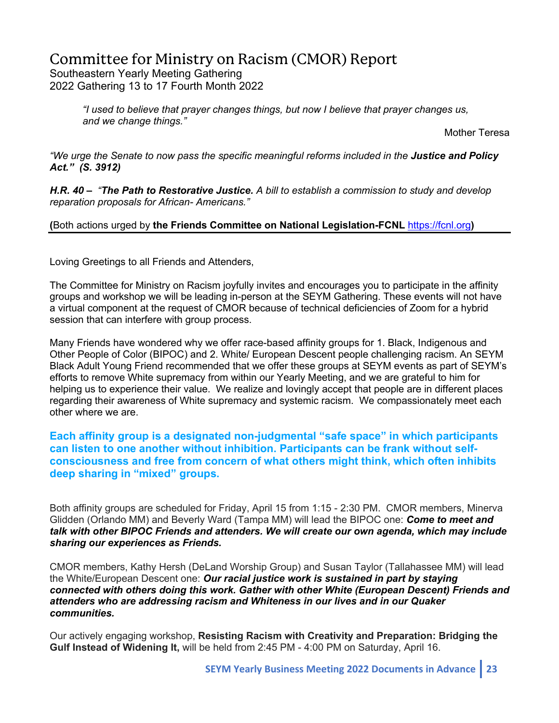# Committee for Ministry on Racism (CMOR) Report

Southeastern Yearly Meeting Gathering 2022 Gathering 13 to 17 Fourth Month 2022

> *"I used to believe that prayer changes things, but now I believe that prayer changes us, and we change things."*

Mother Teresa

*"We urge the Senate to now pass the specific meaningful reforms included in the Justice and Policy Act." (S. 3912)*

*H.R. 40 – "The Path to Restorative Justice. A bill to establish a commission to study and develop reparation proposals for African- Americans."* 

### **(**Both actions urged by **the Friends Committee on National Legislation-FCNL** https://fcnl.org**)**

Loving Greetings to all Friends and Attenders,

The Committee for Ministry on Racism joyfully invites and encourages you to participate in the affinity groups and workshop we will be leading in-person at the SEYM Gathering. These events will not have a virtual component at the request of CMOR because of technical deficiencies of Zoom for a hybrid session that can interfere with group process.

Many Friends have wondered why we offer race-based affinity groups for 1. Black, Indigenous and Other People of Color (BIPOC) and 2. White/ European Descent people challenging racism. An SEYM Black Adult Young Friend recommended that we offer these groups at SEYM events as part of SEYM's efforts to remove White supremacy from within our Yearly Meeting, and we are grateful to him for helping us to experience their value. We realize and lovingly accept that people are in different places regarding their awareness of White supremacy and systemic racism. We compassionately meet each other where we are.

**Each affinity group is a designated non-judgmental "safe space" in which participants can listen to one another without inhibition. Participants can be frank without selfconsciousness and free from concern of what others might think, which often inhibits deep sharing in "mixed" groups.**

Both affinity groups are scheduled for Friday, April 15 from 1:15 - 2:30 PM. CMOR members, Minerva Glidden (Orlando MM) and Beverly Ward (Tampa MM) will lead the BIPOC one: *Come to meet and talk with other BIPOC Friends and attenders. We will create our own agenda, which may include sharing our experiences as Friends.*

CMOR members, Kathy Hersh (DeLand Worship Group) and Susan Taylor (Tallahassee MM) will lead the White/European Descent one: *Our racial justice work is sustained in part by staying connected with others doing this work. Gather with other White (European Descent) Friends and attenders who are addressing racism and Whiteness in our lives and in our Quaker communities.* 

Our actively engaging workshop, **Resisting Racism with Creativity and Preparation: Bridging the Gulf Instead of Widening It,** will be held from 2:45 PM - 4:00 PM on Saturday, April 16.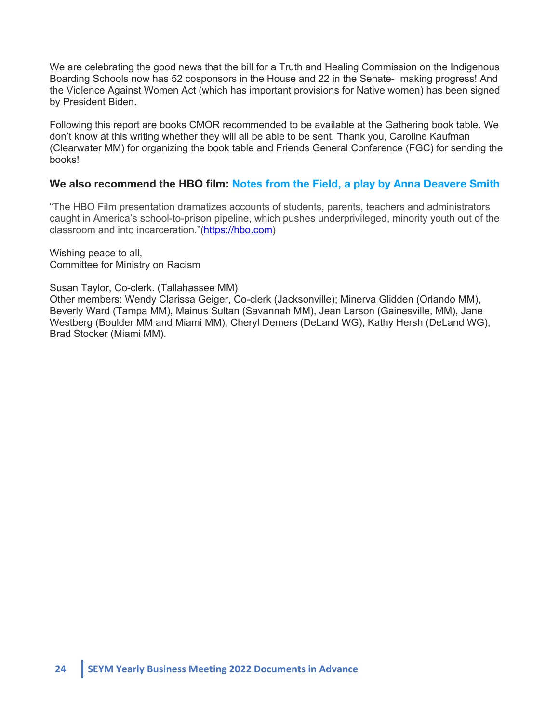We are celebrating the good news that the bill for a Truth and Healing Commission on the Indigenous Boarding Schools now has 52 cosponsors in the House and 22 in the Senate- making progress! And the Violence Against Women Act (which has important provisions for Native women) has been signed by President Biden.

Following this report are books CMOR recommended to be available at the Gathering book table. We don't know at this writing whether they will all be able to be sent. Thank you, Caroline Kaufman (Clearwater MM) for organizing the book table and Friends General Conference (FGC) for sending the books!

# **We also recommend the HBO film: Notes from the Field, a play by Anna Deavere Smith**

"The HBO Film presentation dramatizes accounts of students, parents, teachers and administrators caught in America's school-to-prison pipeline, which pushes underprivileged, minority youth out of the classroom and into incarceration."(https://hbo.com)

Wishing peace to all, Committee for Ministry on Racism

Susan Taylor, Co-clerk. (Tallahassee MM)

Other members: Wendy Clarissa Geiger, Co-clerk (Jacksonville); Minerva Glidden (Orlando MM), Beverly Ward (Tampa MM), Mainus Sultan (Savannah MM), Jean Larson (Gainesville, MM), Jane Westberg (Boulder MM and Miami MM), Cheryl Demers (DeLand WG), Kathy Hersh (DeLand WG), Brad Stocker (Miami MM).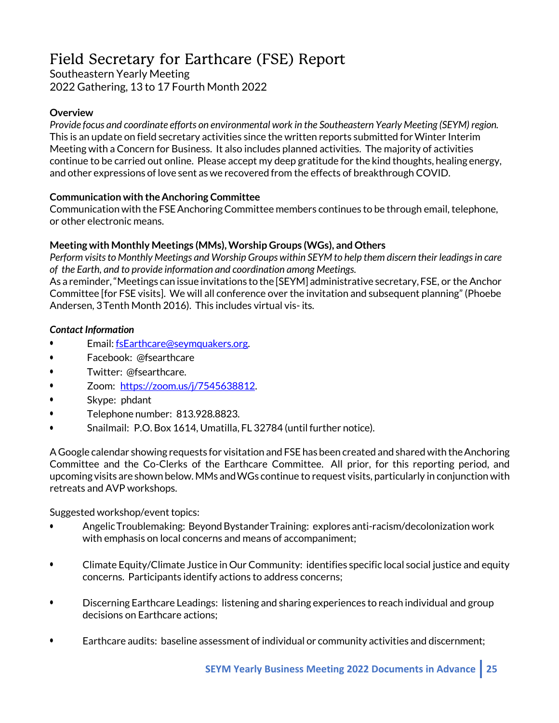# Field Secretary for Earthcare (FSE) Report

Southeastern Yearly Meeting 2022 Gathering, 13 to 17 Fourth Month 2022

### **Overview**

*Provide focus and coordinate efforts on environmental work in the Southeastern Yearly Meeting (SEYM) region.* This is an update on field secretary activities since the written reports submitted forWinter Interim Meeting with a Concern for Business. It also includes planned activities. The majority of activities continue to be carried out online. Please accept my deep gratitude for the kind thoughts, healing energy, and other expressions of love sent as we recovered from the effects of breakthrough COVID.

### **Communication with the Anchoring Committee**

Communication with the FSEAnchoringCommittee members continues to be through email, telephone, or other electronic means.

# **Meeting with Monthly Meetings (MMs),Worship Groups (WGs), and Others**

*Perform visitsto Monthly Meetings and Worship Groups within SEYM to help them discern their leadingsin care of the Earth, and to provide information and coordination among Meetings.*

As a reminder,"Meetings can issue invitations to the [SEYM] administrative secretary, FSE, or the Anchor Committee [for FSE visits]. We will all conference over the invitation and subsequent planning" (Phoebe Andersen, 3Tenth Month 2016). This includes virtual vis- its.

### *Contact Information*

- Email: fsEarthcare@seymquakers.org.
- Facebook: @fsearthcare
- Twitter: @fsearthcare.
- Zoom: https://zoom.us/j/7545638812.
- Skype: phdant
- Telephone number: 813.928.8823.
- Snailmail: P.O. Box 1614, Umatilla, FL 32784 (until further notice).

A Google calendar showing requests for visitation and FSE has been created and shared with theAnchoring Committee and the Co-Clerks of the Earthcare Committee. All prior, for this reporting period, and upcoming visits are shown below. MMs andWGs continue to request visits, particularly in conjunction with retreats and AVP workshops.

Suggested workshop/event topics:

- Angelic Troublemaking: Beyond Bystander Training: explores anti-racism/decolonization work with emphasis on local concerns and means of accompaniment;
- Climate Equity/Climate Justice in Our Community: identifies specific local social justice and equity concerns. Participants identify actions to address concerns;
- Discerning Earthcare Leadings: listening and sharing experiences to reach individual and group decisions on Earthcare actions;
- Earthcare audits: baseline assessment of individual or community activities and discernment;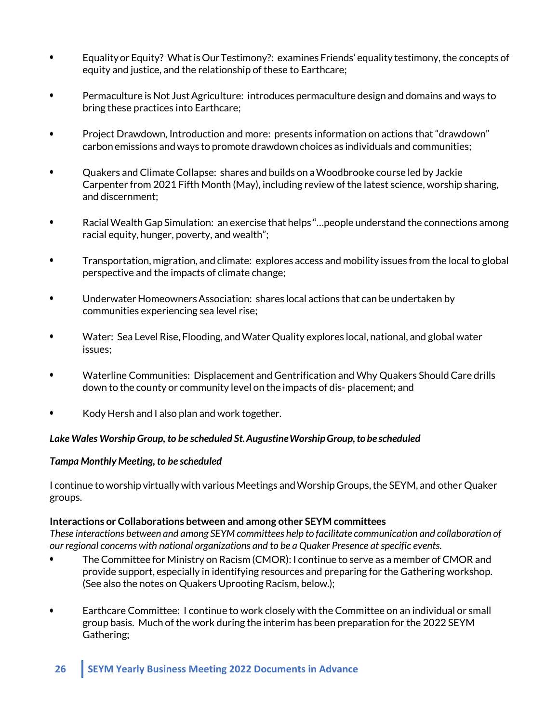- Equalityor Equity? WhatisOurTestimony?: examines Friends' equality testimony, the concepts of equity and justice, and the relationship of these to Earthcare;
- Permaculture is Not JustAgriculture: introduces permaculture design and domains and ways to bring these practices into Earthcare;
- Project Drawdown, Introduction and more: presents information on actions that "drawdown" carbon emissions and ways to promote drawdown choices as individuals and communities;
- Quakers and Climate Collapse: shares and builds on aWoodbrooke course led by Jackie Carpenter from 2021 Fifth Month (May), including review of the latest science, worship sharing, and discernment;
- RacialWealth Gap Simulation: an exercise that helps "…people understand the connections among racial equity, hunger, poverty, and wealth";
- Transportation, migration, and climate: explores access and mobility issues from the local to global perspective and the impacts of climate change;
- Underwater HomeownersAssociation: shares local actions that can be undertaken by communities experiencing sea level rise;
- Water: Sea Level Rise, Flooding, andWater Quality explores local, national, and global water issues;
- Waterline Communities: Displacement and Gentrification and Why Quakers Should Care drills down to the county or community level on the impacts of dis- placement; and
- Kody Hersh and I also plan and work together.

### *Lake Wales Worship Group, to be scheduled St.AugustineWorshipGroup,to be scheduled*

### *Tampa Monthly Meeting, to be scheduled*

I continue to worship virtually with various Meetings andWorship Groups,the SEYM, and other Quaker groups.

### **Interactions or Collaborations between and among other SEYM committees**

*These interactions between and among SEYM committees help to facilitate communication and collaboration of our regional concerns with national organizations and to be a Quaker Presence at specific events.*

- The Committee for Ministry on Racism (CMOR): I continue to serve as a member of CMOR and provide support, especially in identifying resources and preparing for the Gathering workshop. (See also the notes on Quakers Uprooting Racism, below.);
- Earthcare Committee: I continue to work closely with the Committee on an individual or small group basis. Much ofthe work during the interim has been preparation for the 2022 SEYM Gathering;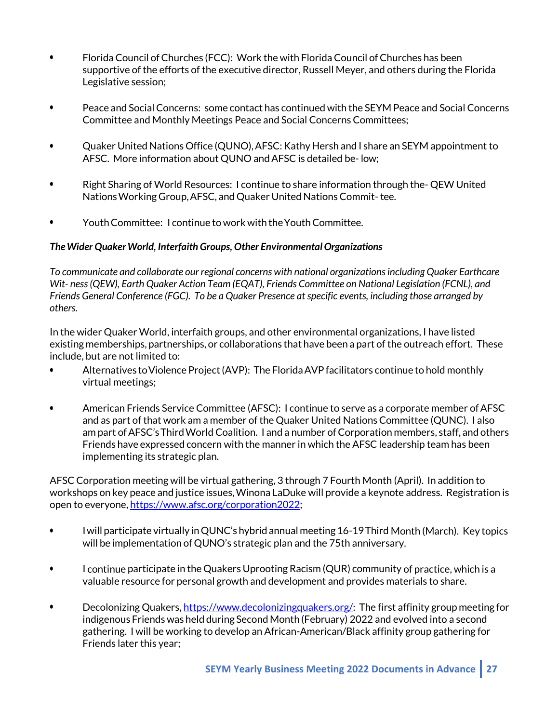- Florida Council of Churches (FCC): Work the with Florida Council of Churches has been supportive of the efforts of the executive director, Russell Meyer, and others during the Florida Legislative session;
- Peace and SocialConcerns: some contact has continued with the SEYM Peace and Social Concerns Committee and Monthly Meetings Peace and Social Concerns Committees;
- Quaker United Nations Office (QUNO),AFSC:Kathy Hersh and I share an SEYM appointment to AFSC. More information about QUNO and AFSC is detailed be-low:
- Right Sharing of World Resources: I continue to share information through the- QEWUnited NationsWorking Group,AFSC, and Quaker United NationsCommit- tee.
- Youth Committee: I continue to work with the Youth Committee.

### *TheWider QuakerWorld, Interfaith Groups, Other Environmental Organizations*

*To communicate and collaborate our regional concerns with national organizationsincluding Quaker Earthcare Wit- ness (QEW), Earth Quaker Action Team (EQAT), Friends Committee on National Legislation (FCNL), and Friends General Conference (FGC). To be a Quaker Presence at specific events, including those arranged by others.*

In the wider Quaker World, interfaith groups, and other environmental organizations, I have listed existing memberships, partnerships, or collaborations that have been a part of the outreach effort. These include, but are not limited to:

- Alternatives to Violence Project (AVP): The Florida AVP facilitators continue to hold monthly virtual meetings;
- American Friends Service Committee (AFSC): I continue to serve as a corporate member ofAFSC and as part of that work am a member of the Quaker United Nations Committee (QUNC). I also am part of AFSC's Third World Coalition. I and a number of Corporation members, staff, and others Friends have expressed concern with the manner in which the AFSC leadership team has been implementing its strategic plan.

AFSC Corporation meeting will be virtual gathering, 3 through 7 Fourth Month (April). In addition to workshops on key peace and justice issues,Winona LaDuke will provide a keynote address. Registration is open to everyone, https://www.afsc.org/corporation2022;

- Iwill participate virtually inQUNC's hybrid annual meeting 16-19Third Month (March). Key topics will be implementation of QUNO's strategic plan and the 75th anniversary.
- I continue participate in the Quakers Uprooting Racism (QUR) community of practice, which is a valuable resource for personal growth and development and provides materials to share.
- Decolonizing Quakers, https://www.decolonizingquakers.org/: The first affinity group meeting for indigenous Friends was held during Second Month (February) 2022 and evolved into a second gathering. I will be working to develop an African-American/Black affinity group gathering for Friends later this year;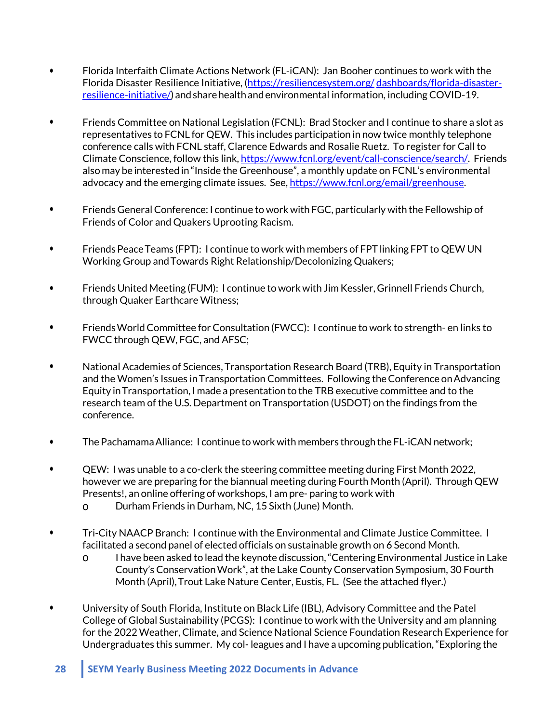- Florida Interfaith Climate Actions Network (FL-iCAN): Jan Booher continues to work with the Florida Disaster Resilience Initiative, (https://resiliencesystem.org/ dashboards/florida-disasterresilience-initiative/) and share health and environmental information, including COVID-19.
- Friends Committee on National Legislation (FCNL): Brad Stocker and I continue to share a slot as representatives to FCNL for QEW. This includes participation in now twice monthly telephone conference calls with FCNL staff, Clarence Edwards and Rosalie Ruetz. To register for Call to Climate Conscience, follow this link, https://www.fcnl.org/event/call-conscience/search/. Friends also may be interested in "Inside the Greenhouse", a monthly update on FCNL's environmental advocacy and the emerging climate issues. See, https://www.fcnl.org/email/greenhouse.
- Friends GeneralConference: I continue to work with FGC, particularly with the Fellowship of Friends of Color and Quakers Uprooting Racism.
- Friends Peace Teams (FPT): I continue to work with members of FPT linking FPT to QEW UN Working Group andTowards Right Relationship/Decolonizing Quakers;
- Friends United Meeting (FUM): I continue to work with Jim Kessler, Grinnell Friends Church, through Quaker Earthcare Witness;
- Friends World Committee for Consultation (FWCC): I continue to work to strength- en links to FWCC through QEW, FGC, and AFSC;
- National Academies of Sciences, Transportation Research Board (TRB), Equity in Transportation and the Women's Issues in Transportation Committees. Following the Conference on Advancing Equity inTransportation, I made a presentation to the TRB executive committee and to the research team of the U.S. Department on Transportation (USDOT) on the findings from the conference.
- The PachamamaAlliance: I continue to work with members through the FL-iCAN network;
- QEW: I was unable to a co-clerk the steering committee meeting during First Month 2022, however we are preparing for the biannual meeting during Fourth Month (April). Through QEW Presents!, an online offering of workshops, I am pre- paring to work with
	- o Durham Friends in Durham, NC, 15 Sixth (June) Month.
- Tri-City NAACP Branch: I continue with the Environmental and Climate Justice Committee. I facilitated a second panel of elected officials on sustainable growth on 6 Second Month.
	- o I have been asked to lead the keynote discussion,"Centering Environmental Justice in Lake County's ConservationWork", atthe Lake County Conservation Symposium, 30 Fourth Month (April), Trout Lake Nature Center, Eustis, FL. (See the attached flyer.)
- University of South Florida, Institute on Black Life (IBL), Advisory Committee and the Patel College of Global Sustainability (PCGS): I continue to work with the University and am planning for the 2022Weather, Climate, and Science National Science Foundation Research Experience for Undergraduates this summer. My col- leagues and I have a upcoming publication,"Exploring the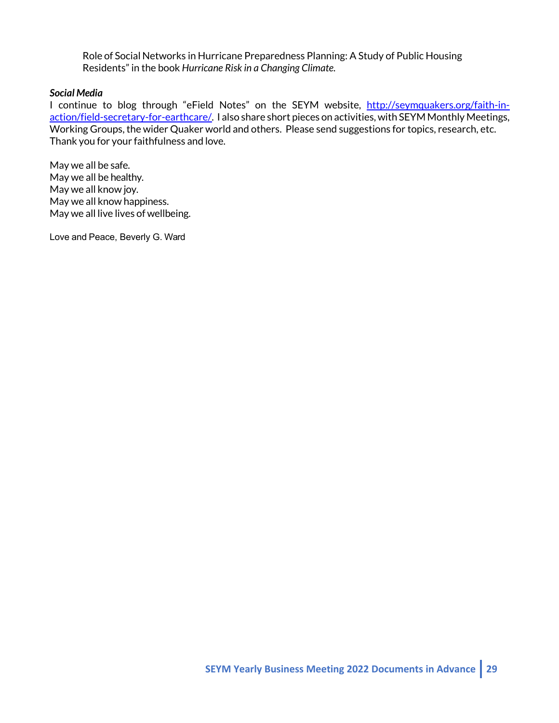Role of Social Networks in Hurricane Preparedness Planning: A Study of Public Housing Residents" in the book *Hurricane Risk in a Changing Climate.*

#### *Social Media*

I continue to blog through "eField Notes" on the SEYM website, http://seymquakers.org/faith-inaction/field-secretary-for-earthcare/. I also share short pieces on activities, with SEYM Monthly Meetings, Working Groups, the wider Quaker world and others. Please send suggestions for topics, research, etc. Thank you for your faithfulness and love.

May we all be safe. May we all be healthy. May we all know joy. May we all know happiness. May we all live lives of wellbeing.

Love and Peace, Beverly G. Ward